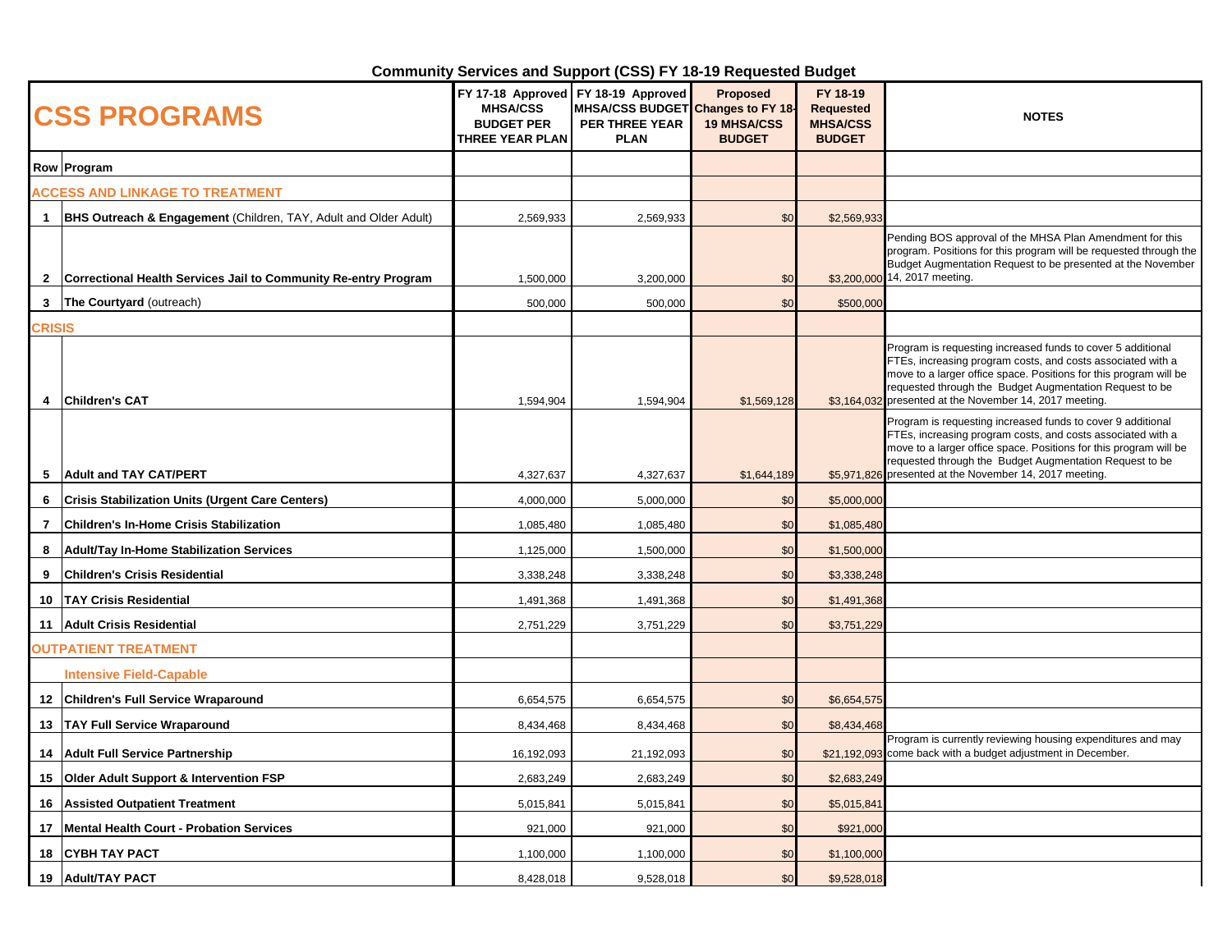## **Community Services and Support (CSS) FY 18-19 Requested Budget**

| <b>CSS PROGRAMS</b>                    |                                                                  | <b>MHSA/CSS</b><br><b>BUDGET PER</b><br>THREE YEAR PLAN | FY 17-18 Approved FY 18-19 Approved<br>MHSA/CSS BUDGET Changes to FY 18-<br>PER THREE YEAR<br><b>PLAN</b> | <b>Proposed</b><br><b>19 MHSA/CSS</b><br><b>BUDGET</b> | FY 18-19<br><b>Requested</b><br><b>MHSA/CSS</b><br><b>BUDGET</b> | <b>NOTES</b>                                                                                                                                                                                                                                                                                              |
|----------------------------------------|------------------------------------------------------------------|---------------------------------------------------------|-----------------------------------------------------------------------------------------------------------|--------------------------------------------------------|------------------------------------------------------------------|-----------------------------------------------------------------------------------------------------------------------------------------------------------------------------------------------------------------------------------------------------------------------------------------------------------|
|                                        | Row Program                                                      |                                                         |                                                                                                           |                                                        |                                                                  |                                                                                                                                                                                                                                                                                                           |
| <b>ACCESS AND LINKAGE TO TREATMENT</b> |                                                                  |                                                         |                                                                                                           |                                                        |                                                                  |                                                                                                                                                                                                                                                                                                           |
| 1.                                     | BHS Outreach & Engagement (Children, TAY, Adult and Older Adult) | 2,569,933                                               | 2,569,933                                                                                                 | \$0                                                    | \$2,569,933                                                      |                                                                                                                                                                                                                                                                                                           |
| $\mathbf{2}$                           | Correctional Health Services Jail to Community Re-entry Program  | 1,500,000                                               | 3,200,000                                                                                                 | \$0                                                    |                                                                  | Pending BOS approval of the MHSA Plan Amendment for this<br>program. Positions for this program will be requested through the<br>Budget Augmentation Request to be presented at the November<br>\$3,200,000 14, 2017 meeting.                                                                             |
| 3                                      | The Courtyard (outreach)                                         | 500,000                                                 | 500,000                                                                                                   | \$0                                                    | \$500,000                                                        |                                                                                                                                                                                                                                                                                                           |
| CRISIS                                 |                                                                  |                                                         |                                                                                                           |                                                        |                                                                  |                                                                                                                                                                                                                                                                                                           |
| 4                                      | <b>Children's CAT</b>                                            | 1,594,904                                               | 1,594,904                                                                                                 | \$1,569,128                                            | \$3,164,032                                                      | Program is requesting increased funds to cover 5 additional<br>FTEs, increasing program costs, and costs associated with a<br>move to a larger office space. Positions for this program will be<br>requested through the Budget Augmentation Request to be<br>presented at the November 14, 2017 meeting. |
|                                        |                                                                  |                                                         |                                                                                                           |                                                        |                                                                  | Program is requesting increased funds to cover 9 additional<br>FTEs, increasing program costs, and costs associated with a<br>move to a larger office space. Positions for this program will be<br>requested through the Budget Augmentation Request to be                                                |
| 5                                      | <b>Adult and TAY CAT/PERT</b>                                    | 4,327,637                                               | 4,327,637                                                                                                 | \$1,644,189                                            |                                                                  | \$5,971,826 presented at the November 14, 2017 meeting.                                                                                                                                                                                                                                                   |
| 6                                      | <b>Crisis Stabilization Units (Urgent Care Centers)</b>          | 4,000,000                                               | 5,000,000                                                                                                 | \$0                                                    | \$5,000,000                                                      |                                                                                                                                                                                                                                                                                                           |
| $\overline{7}$                         | <b>Children's In-Home Crisis Stabilization</b>                   | 1,085,480                                               | 1,085,480                                                                                                 | \$0                                                    | \$1,085,480                                                      |                                                                                                                                                                                                                                                                                                           |
| 8                                      | <b>Adult/Tay In-Home Stabilization Services</b>                  | 1,125,000                                               | 1,500,000                                                                                                 | \$0                                                    | \$1,500,000                                                      |                                                                                                                                                                                                                                                                                                           |
| 9                                      | <b>Children's Crisis Residential</b>                             | 3,338,248                                               | 3,338,248                                                                                                 | \$0                                                    | \$3,338,248                                                      |                                                                                                                                                                                                                                                                                                           |
| 10                                     | <b>TAY Crisis Residential</b>                                    | 1,491,368                                               | 1,491,368                                                                                                 | \$0                                                    | \$1,491,368                                                      |                                                                                                                                                                                                                                                                                                           |
|                                        | 11 Adult Crisis Residential                                      | 2,751,229                                               | 3,751,229                                                                                                 | \$0                                                    | \$3,751,229                                                      |                                                                                                                                                                                                                                                                                                           |
| <b>OUTPATIENT TREATMENT</b>            |                                                                  |                                                         |                                                                                                           |                                                        |                                                                  |                                                                                                                                                                                                                                                                                                           |
|                                        | <b>Intensive Field-Capable</b>                                   |                                                         |                                                                                                           |                                                        |                                                                  |                                                                                                                                                                                                                                                                                                           |
|                                        | 12 Children's Full Service Wraparound                            | 6,654,575                                               | 6,654,575                                                                                                 | \$0                                                    | \$6,654,575                                                      |                                                                                                                                                                                                                                                                                                           |
|                                        | 13   TAY Full Service Wraparound                                 | 8,434,468                                               | 8,434,468                                                                                                 | \$0                                                    | \$8,434,468                                                      |                                                                                                                                                                                                                                                                                                           |
| 14                                     | <b>Adult Full Service Partnership</b>                            | 16,192,093                                              | 21,192,093                                                                                                | \$0                                                    |                                                                  | Program is currently reviewing housing expenditures and may<br>\$21,192,093 come back with a budget adjustment in December.                                                                                                                                                                               |
| 15                                     | <b>Older Adult Support &amp; Intervention FSP</b>                | 2,683,249                                               | 2,683,249                                                                                                 | \$0                                                    | \$2,683,249                                                      |                                                                                                                                                                                                                                                                                                           |
| 16                                     | <b>Assisted Outpatient Treatment</b>                             | 5,015,841                                               | 5,015,841                                                                                                 | \$0                                                    | \$5,015,841                                                      |                                                                                                                                                                                                                                                                                                           |
| 17                                     | <b>Mental Health Court - Probation Services</b>                  | 921,000                                                 | 921,000                                                                                                   | \$0                                                    | \$921,000                                                        |                                                                                                                                                                                                                                                                                                           |
| 18                                     | <b>CYBH TAY PACT</b>                                             | 1,100,000                                               | 1,100,000                                                                                                 | \$0                                                    | \$1,100,000                                                      |                                                                                                                                                                                                                                                                                                           |
|                                        | 19 Adult/TAY PACT                                                | 8,428,018                                               | 9,528,018                                                                                                 | \$0                                                    | \$9,528,018                                                      |                                                                                                                                                                                                                                                                                                           |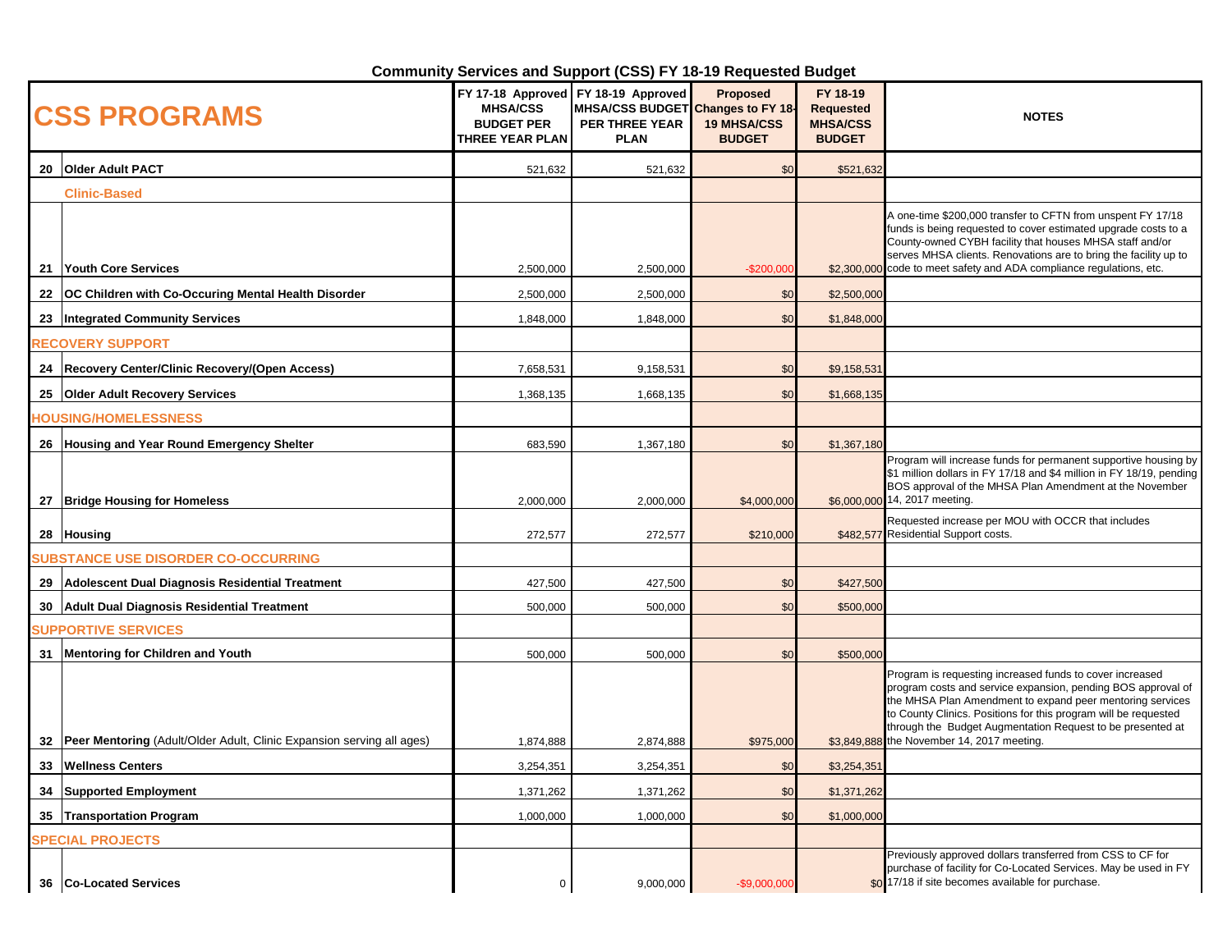## **Community Services and Support (CSS) FY 18-19 Requested Budget**

| <b>CSS PROGRAMS</b>        |                                                                            | <b>MHSA/CSS</b><br><b>BUDGET PER</b><br>THREE YEAR PLAN | FY 17-18 Approved FY 18-19 Approved<br>MHSA/CSS BUDGET Changes to FY 18-<br>PER THREE YEAR<br><b>PLAN</b> | <b>Proposed</b><br><b>19 MHSA/CSS</b><br><b>BUDGET</b> | FY 18-19<br><b>Requested</b><br><b>MHSA/CSS</b><br><b>BUDGET</b> | <b>NOTES</b>                                                                                                                                                                                                                                                                                                                                                         |
|----------------------------|----------------------------------------------------------------------------|---------------------------------------------------------|-----------------------------------------------------------------------------------------------------------|--------------------------------------------------------|------------------------------------------------------------------|----------------------------------------------------------------------------------------------------------------------------------------------------------------------------------------------------------------------------------------------------------------------------------------------------------------------------------------------------------------------|
|                            | 20 Older Adult PACT                                                        | 521,632                                                 | 521,632                                                                                                   | \$0                                                    | \$521,632                                                        |                                                                                                                                                                                                                                                                                                                                                                      |
|                            | <b>Clinic-Based</b>                                                        |                                                         |                                                                                                           |                                                        |                                                                  |                                                                                                                                                                                                                                                                                                                                                                      |
|                            | 21 Youth Core Services                                                     | 2,500,000                                               | 2,500,000                                                                                                 | $-$200,000$                                            |                                                                  | A one-time \$200,000 transfer to CFTN from unspent FY 17/18<br>funds is being requested to cover estimated upgrade costs to a<br>County-owned CYBH facility that houses MHSA staff and/or<br>serves MHSA clients. Renovations are to bring the facility up to<br>\$2,300,000 code to meet safety and ADA compliance regulations, etc.                                |
| 22                         | OC Children with Co-Occuring Mental Health Disorder                        | 2,500,000                                               | 2,500,000                                                                                                 | \$0                                                    | \$2,500,000                                                      |                                                                                                                                                                                                                                                                                                                                                                      |
|                            | 23 Integrated Community Services                                           | 1,848,000                                               | 1,848,000                                                                                                 | \$0                                                    | \$1,848,000                                                      |                                                                                                                                                                                                                                                                                                                                                                      |
|                            | <b>RECOVERY SUPPORT</b>                                                    |                                                         |                                                                                                           |                                                        |                                                                  |                                                                                                                                                                                                                                                                                                                                                                      |
|                            | 24 Recovery Center/Clinic Recovery/(Open Access)                           | 7,658,531                                               | 9,158,531                                                                                                 | \$0                                                    | \$9,158,531                                                      |                                                                                                                                                                                                                                                                                                                                                                      |
|                            | 25 Older Adult Recovery Services                                           | 1,368,135                                               | 1,668,135                                                                                                 | \$0                                                    | \$1,668,135                                                      |                                                                                                                                                                                                                                                                                                                                                                      |
|                            | <b>TOUSING/HOMELESSNESS</b>                                                |                                                         |                                                                                                           |                                                        |                                                                  |                                                                                                                                                                                                                                                                                                                                                                      |
|                            | 26 Housing and Year Round Emergency Shelter                                | 683,590                                                 | 1,367,180                                                                                                 | \$0                                                    | \$1,367,180                                                      |                                                                                                                                                                                                                                                                                                                                                                      |
|                            | 27   Bridge Housing for Homeless                                           | 2,000,000                                               | 2,000,000                                                                                                 | \$4,000,000                                            |                                                                  | Program will increase funds for permanent supportive housing by<br>\$1 million dollars in FY 17/18 and \$4 million in FY 18/19, pending<br>BOS approval of the MHSA Plan Amendment at the November<br>\$6,000,000 14, 2017 meeting.                                                                                                                                  |
|                            | 28 Housing                                                                 | 272,577                                                 | 272,577                                                                                                   | \$210,000                                              |                                                                  | Requested increase per MOU with OCCR that includes<br>\$482,577 Residential Support costs.                                                                                                                                                                                                                                                                           |
|                            | <b>SUBSTANCE USE DISORDER CO-OCCURRING</b>                                 |                                                         |                                                                                                           |                                                        |                                                                  |                                                                                                                                                                                                                                                                                                                                                                      |
| 29                         | Adolescent Dual Diagnosis Residential Treatment                            | 427,500                                                 | 427,500                                                                                                   | \$0                                                    | \$427,500                                                        |                                                                                                                                                                                                                                                                                                                                                                      |
|                            | 30 Adult Dual Diagnosis Residential Treatment                              | 500,000                                                 | 500,000                                                                                                   | \$0                                                    | \$500,000                                                        |                                                                                                                                                                                                                                                                                                                                                                      |
| <b>SUPPORTIVE SERVICES</b> |                                                                            |                                                         |                                                                                                           |                                                        |                                                                  |                                                                                                                                                                                                                                                                                                                                                                      |
|                            | 31 Mentoring for Children and Youth                                        | 500,000                                                 | 500,000                                                                                                   | \$0                                                    | \$500,000                                                        |                                                                                                                                                                                                                                                                                                                                                                      |
|                            | 32   Peer Mentoring (Adult/Older Adult, Clinic Expansion serving all ages) | 1,874,888                                               | 2,874,888                                                                                                 | \$975,000                                              |                                                                  | Program is requesting increased funds to cover increased<br>program costs and service expansion, pending BOS approval of<br>the MHSA Plan Amendment to expand peer mentoring services<br>to County Clinics. Positions for this program will be requested<br>through the Budget Augmentation Request to be presented at<br>\$3,849,888 the November 14, 2017 meeting. |
| 33                         | <b>Wellness Centers</b>                                                    | 3,254,351                                               | 3,254,351                                                                                                 | \$0                                                    | \$3,254,351                                                      |                                                                                                                                                                                                                                                                                                                                                                      |
| 34                         | <b>Supported Employment</b>                                                | 1,371,262                                               | 1,371,262                                                                                                 | \$0                                                    | \$1,371,262                                                      |                                                                                                                                                                                                                                                                                                                                                                      |
|                            | 35 Transportation Program                                                  | 1,000,000                                               | 1,000,000                                                                                                 | \$0                                                    | \$1,000,000                                                      |                                                                                                                                                                                                                                                                                                                                                                      |
| <b>SPECIAL PROJECTS</b>    |                                                                            |                                                         |                                                                                                           |                                                        |                                                                  |                                                                                                                                                                                                                                                                                                                                                                      |
|                            | 36   Co-Located Services                                                   | $\mathbf 0$                                             | 9,000,000                                                                                                 | $-$9,000,000$                                          |                                                                  | Previously approved dollars transferred from CSS to CF for<br>purchase of facility for Co-Located Services. May be used in FY<br>\$0 17/18 if site becomes available for purchase.                                                                                                                                                                                   |